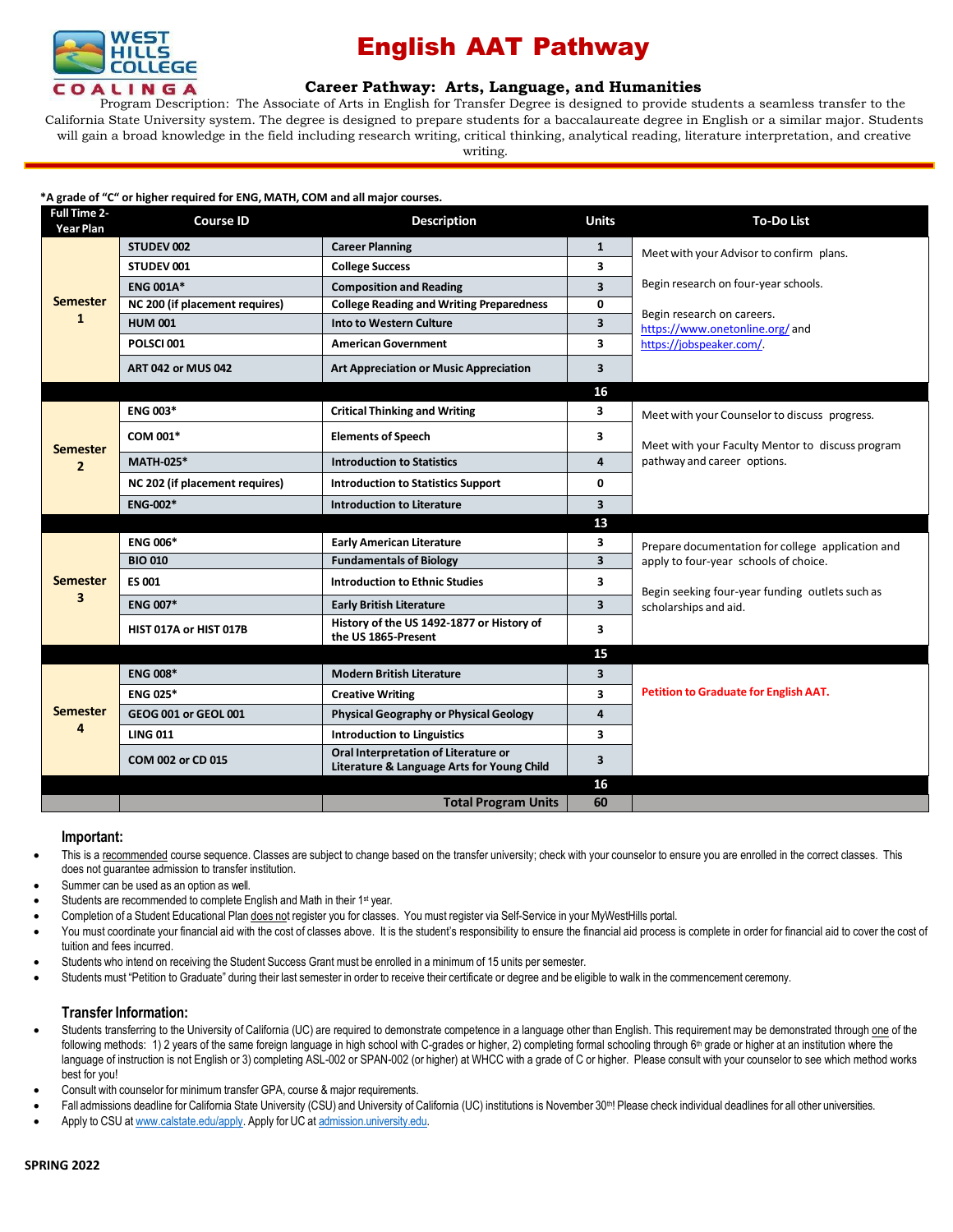

## English AAT Pathway

## **Career [Pathway:](http://www.broward.edu/academics/programs/Pages/social-behavioral-sciences-human-services-SBSHS.aspx) Arts, Language, and Humanities**

Program Description: The Associate of Arts in English for Transfer Degree is designed to provide students a seamless transfer to the California State University system. The degree is designed to prepare students for a baccalaureate degree in English or a similar major. Students will gain a broad knowledge in the field including research writing, critical thinking, analytical reading, literature interpretation, and creative writing.

#### **\*A grade of "C" or higher required for ENG, MATH, COM and all major courses.**

| <b>Full Time 2-</b><br><b>Year Plan</b> | <b>Course ID</b>               | <b>Description</b>                                                                 | <b>Units</b>            | <b>To-Do List</b>                                 |
|-----------------------------------------|--------------------------------|------------------------------------------------------------------------------------|-------------------------|---------------------------------------------------|
| <b>Semester</b><br>1                    | STUDEV 002                     | <b>Career Planning</b>                                                             | $\mathbf{1}$            | Meet with your Advisor to confirm plans.          |
|                                         | STUDEV 001                     | <b>College Success</b>                                                             | 3                       |                                                   |
|                                         | <b>ENG 001A*</b>               | <b>Composition and Reading</b>                                                     | $\overline{\mathbf{3}}$ | Begin research on four-year schools.              |
|                                         | NC 200 (if placement requires) | <b>College Reading and Writing Preparedness</b>                                    | 0                       | Begin research on careers.                        |
|                                         | <b>HUM 001</b>                 | Into to Western Culture                                                            | 3                       | https://www.onetonline.org/and                    |
|                                         | POLSCI001                      | <b>American Government</b>                                                         | 3                       | https://jobspeaker.com/.                          |
|                                         | <b>ART 042 or MUS 042</b>      | <b>Art Appreciation or Music Appreciation</b>                                      | 3                       |                                                   |
|                                         |                                |                                                                                    | 16                      |                                                   |
| <b>Semester</b>                         | <b>ENG 003*</b>                | <b>Critical Thinking and Writing</b>                                               | 3                       | Meet with your Counselor to discuss progress.     |
|                                         | COM 001*                       | <b>Elements of Speech</b>                                                          | 3                       | Meet with your Faculty Mentor to discuss program  |
| $\overline{2}$                          | <b>MATH-025*</b>               | <b>Introduction to Statistics</b>                                                  | 4                       | pathway and career options.                       |
|                                         | NC 202 (if placement requires) | <b>Introduction to Statistics Support</b>                                          | 0                       |                                                   |
|                                         | <b>ENG-002*</b>                | <b>Introduction to Literature</b>                                                  | $\overline{\mathbf{3}}$ |                                                   |
|                                         |                                |                                                                                    | 13                      |                                                   |
| <b>Semester</b>                         | <b>ENG 006*</b>                | <b>Early American Literature</b>                                                   | 3                       | Prepare documentation for college application and |
|                                         | <b>BIO 010</b>                 | <b>Fundamentals of Biology</b>                                                     | $\overline{\mathbf{3}}$ | apply to four-year schools of choice.             |
|                                         | ES 001                         | <b>Introduction to Ethnic Studies</b>                                              | 3                       | Begin seeking four-year funding outlets such as   |
| 3                                       | <b>ENG 007*</b>                | <b>Early British Literature</b>                                                    | 3                       | scholarships and aid.                             |
|                                         | HIST 017A or HIST 017B         | History of the US 1492-1877 or History of<br>the US 1865-Present                   | 3                       |                                                   |
|                                         |                                |                                                                                    | 15                      |                                                   |
|                                         | <b>ENG 008*</b>                | <b>Modern British Literature</b>                                                   | 3                       |                                                   |
|                                         | <b>ENG 025*</b>                | <b>Creative Writing</b>                                                            | 3                       | <b>Petition to Graduate for English AAT.</b>      |
| <b>Semester</b>                         | GEOG 001 or GEOL 001           | <b>Physical Geography or Physical Geology</b>                                      | 4                       |                                                   |
| 4                                       | <b>LING 011</b>                | <b>Introduction to Linguistics</b>                                                 | 3                       |                                                   |
|                                         | COM 002 or CD 015              | Oral Interpretation of Literature or<br>Literature & Language Arts for Young Child | 3                       |                                                   |
|                                         |                                |                                                                                    | 16                      |                                                   |
|                                         |                                | <b>Total Program Units</b>                                                         | 60                      |                                                   |

### **Important:**

- This is a recommended course sequence. Classes are subject to change based on the transfer university; check with your counselor to ensure you are enrolled in the correct classes. This does not guarantee admission to transfer institution.
- Summer can be used as an option as well.
- Students are recommended to complete English and Math in their 1<sup>st</sup> year.
- Completion of a Student Educational Plan does not register you for classes. You must register via Self-Service in your MyWestHills portal.
- You must coordinate your financial aid with the cost of classes above. It is the student's responsibility to ensure the financial aid process is complete in order for financial aid to cover the cost of tuition and fees incurred.
- Students who intend on receiving the Student Success Grant must be enrolled in a minimum of 15 units per semester.
- Students must "Petition to Graduate" during their last semester in order to receive their certificate or degree and be eligible to walk in the commencement ceremony.

### **Transfer Information:**

- Students transferring to the University of California (UC) are required to demonstrate competence in a language other than English. This requirement may be demonstrated through one of the following methods: 1) 2 years of the same foreign language in high school with C-grades or higher, 2) completing formal schooling through 6<sup>th</sup> grade or higher at an institution where the language of instruction is not English or 3) completing ASL-002 or SPAN-002 (or higher) at WHCC with a grade of C or higher. Please consult with your counselor to see which method works best for you!
- Consult with counselor for minimum transfer GPA, course & major requirements.
- Fall admissions deadline for California State University (CSU) and University of California (UC) institutions is November 30<sup>th</sup>! Please check individual deadlines for all other universities.
- Apply to CSU at [www.calstate.edu/apply.](http://www.calstate.edu/apply) Apply for UC at [admission.university.edu.](http://www.apply.universityofcalifornia.edu/)